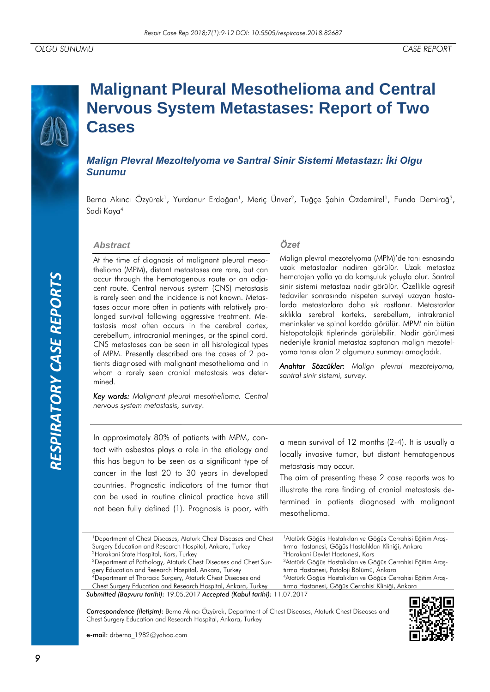# **Malignant Pleural Mesothelioma and Central Nervous System Metastases: Report of Two Cases**

*Malign Plevral Mezoltelyoma ve Santral Sinir Sistemi Metastazı: İki Olgu Sunumu*

Berna Akıncı Özyürek<sup>1</sup>, Yurdanur Erdoğan<sup>1</sup>, Meriç Ünver<sup>2</sup>, Tuğçe Şahin Özdemirel<sup>1</sup>, Funda Demirağ<sup>3</sup>, Sadi Kaya<sup>4</sup>

#### *Abstract*

At the time of diagnosis of malignant pleural mesothelioma (MPM), distant metastases are rare, but can occur through the hematogenous route or an adjacent route. Central nervous system (CNS) metastasis is rarely seen and the incidence is not known. Metastases occur more often in patients with relatively prolonged survival following aggressive treatment. Metastasis most often occurs in the cerebral cortex, cerebellum, intracranial meninges, or the spinal cord. CNS metastases can be seen in all histological types of MPM. Presently described are the cases of 2 patients diagnosed with malignant mesothelioma and in whom a rarely seen cranial metastasis was determined.

*Key words: Malignant pleural mesothelioma, Central nervous system metastasis, survey.*

In approximately 80% of patients with MPM, contact with asbestos plays a role in the etiology and this has begun to be seen as a significant type of cancer in the last 20 to 30 years in developed countries. Prognostic indicators of the tumor that can be used in routine clinical practice have still not been fully defined (1). Prognosis is poor, with

#### *Özet*

Malign plevral mezotelyoma (MPM)'de tanı esnasında uzak metastazlar nadiren görülür. Uzak metastaz hematojen yolla ya da komşuluk yoluyla olur. Santral sinir sistemi metastazı nadir görülür. Özellikle agresif tedaviler sonrasında nispeten surveyi uzayan hastalarda metastazlara daha sık rastlanır. Metastazlar sıklıkla serebral korteks, serebellum, intrakranial meninksler ve spinal kordda görülür. MPM' nin bütün histopatolojik tiplerinde görülebilir. Nadir görülmesi nedeniyle kranial metastaz saptanan malign mezotelyoma tanısı olan 2 olgumuzu sunmayı amaçladık.

*Anahtar Sözcükler: Malign plevral mezotelyoma, santral sinir sistemi, survey.*

a mean survival of 12 months (2-4). It is usually a locally invasive tumor, but distant hematogenous metastasis may occur.

The aim of presenting these 2 case reports was to illustrate the rare finding of cranial metastasis determined in patients diagnosed with malignant mesothelioma.

| gery Education and Research Hospital, Ankara, Turkey<br><sup>4</sup> Department of Thoracic Surgery, Ataturk Chest Diseases and | tırma Hastanesi, Patoloji Bölümü, Ankara<br><sup>4</sup> Atatürk Göğüs Hastalıkları ve Göğüs Cerrahisi Eğitim Araş- |
|---------------------------------------------------------------------------------------------------------------------------------|---------------------------------------------------------------------------------------------------------------------|
| Chest Surgery Education and Research Hospital, Ankara, Turkey                                                                   | tırma Hastanesi, Göğüs Cerrahisi Kliniği, Ankara                                                                    |
|                                                                                                                                 |                                                                                                                     |
|                                                                                                                                 |                                                                                                                     |
| Submitted (Basvuru tarihi): 19.05.2017 Accepted (Kabul tarihi): 11.07.2017                                                      |                                                                                                                     |
|                                                                                                                                 |                                                                                                                     |

*Correspondence (İletişim):* Berna Akıncı Özyürek, Department of Chest Diseases, Ataturk Chest Diseases and Chest Surgery Education and Research Hospital, Ankara, Turkey



e-mail: drberna\_1982@yahoo.com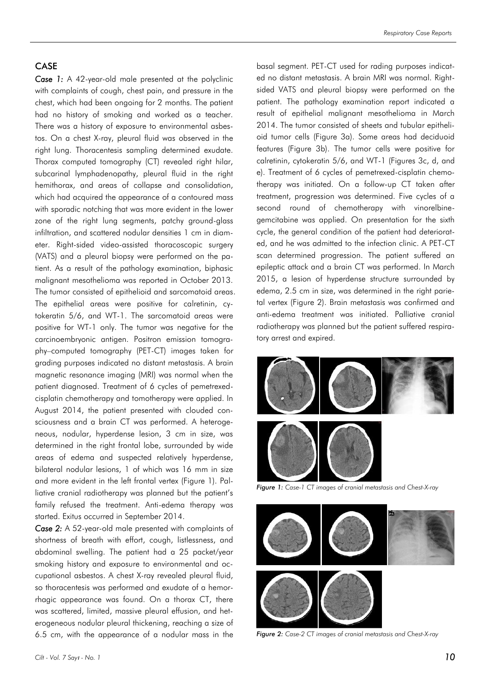# CASE

*Case 1:* A 42-year-old male presented at the polyclinic with complaints of cough, chest pain, and pressure in the chest, which had been ongoing for 2 months. The patient had no history of smoking and worked as a teacher. There was a history of exposure to environmental asbestos. On a chest X-ray, pleural fluid was observed in the right lung. Thoracentesis sampling determined exudate. Thorax computed tomography (CT) revealed right hilar, subcarinal lymphadenopathy, pleural fluid in the right hemithorax, and areas of collapse and consolidation, which had acquired the appearance of a contoured mass with sporadic notching that was more evident in the lower zone of the right lung segments, patchy ground-glass infiltration, and scattered nodular densities 1 cm in diameter. Right-sided video-assisted thoracoscopic surgery (VATS) and a pleural biopsy were performed on the patient. As a result of the pathology examination, biphasic malignant mesothelioma was reported in October 2013. The tumor consisted of epithelioid and sarcomatoid areas. The epithelial areas were positive for calretinin, cytokeratin 5/6, and WT-1. The sarcomatoid areas were positive for WT-1 only. The tumor was negative for the carcinoembryonic antigen. Positron emission tomography–computed tomography (PET-CT) images taken for grading purposes indicated no distant metastasis. A brain magnetic resonance imaging (MRI) was normal when the patient diagnosed. Treatment of 6 cycles of pemetrexedcisplatin chemotherapy and tomotherapy were applied. In August 2014, the patient presented with clouded consciousness and a brain CT was performed. A heterogeneous, nodular, hyperdense lesion, 3 cm in size, was determined in the right frontal lobe, surrounded by wide areas of edema and suspected relatively hyperdense, bilateral nodular lesions, 1 of which was 16 mm in size and more evident in the left frontal vertex (Figure 1). Palliative cranial radiotherapy was planned but the patient's family refused the treatment. Anti-edema therapy was started. Exitus occurred in September 2014.

*Case 2:* A 52-year-old male presented with complaints of shortness of breath with effort, cough, listlessness, and abdominal swelling. The patient had a 25 packet/year smoking history and exposure to environmental and occupational asbestos. A chest X-ray revealed pleural fluid, so thoracentesis was performed and exudate of a hemorrhagic appearance was found. On a thorax CT, there was scattered, limited, massive pleural effusion, and heterogeneous nodular pleural thickening, reaching a size of 6.5 cm, with the appearance of a nodular mass in the

basal segment. PET-CT used for rading purposes indicated no distant metastasis. A brain MRI was normal. Rightsided VATS and pleural biopsy were performed on the patient. The pathology examination report indicated a result of epithelial malignant mesothelioma in March 2014. The tumor consisted of sheets and tubular epithelioid tumor cells (Figure 3a). Some areas had deciduoid features (Figure 3b). The tumor cells were positive for calretinin, cytokeratin 5/6, and WT-1 (Figures 3c, d, and e). Treatment of 6 cycles of pemetrexed-cisplatin chemotherapy was initiated. On a follow-up CT taken after treatment, progression was determined. Five cycles of a second round of chemotherapy with vinorelbinegemcitabine was applied. On presentation for the sixth cycle, the general condition of the patient had deteriorated, and he was admitted to the infection clinic. A PET-CT scan determined progression. The patient suffered an epileptic attack and a brain CT was performed. In March 2015, a lesion of hyperdense structure surrounded by edema, 2.5 cm in size, was determined in the right parietal vertex (Figure 2). Brain metastasis was confirmed and anti-edema treatment was initiated. Palliative cranial radiotherapy was planned but the patient suffered respiratory arrest and expired.



*Figure 1: Case-1 CT images of cranial metastasis and Chest-X-ray*



*Figure 2: Case-2 CT images of cranial metastasis and Chest-X-ray*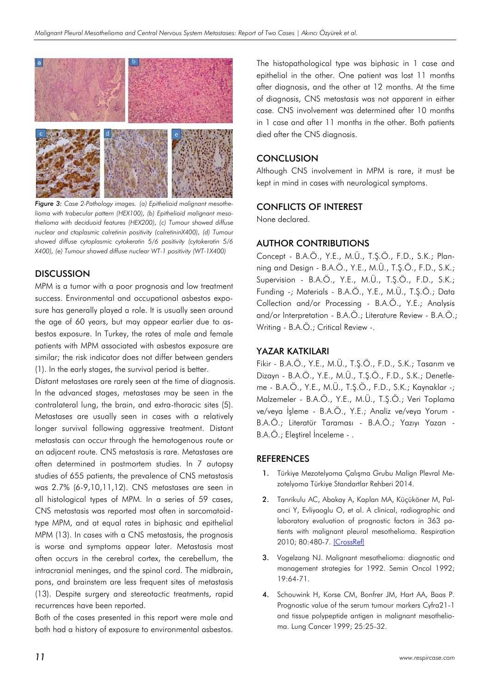

*Figure 3: Case 2-Pathology images. (a) Epithelioid malignant mesothelioma with trabecular pattern (HEX100), (b) Epithelioid malignant mesothelioma with deciduoid features (HEX200), (c) Tumour showed diffuse nuclear and ctoplasmic calretinin positivity (calretininX400), (d) Tumour showed diffuse cytoplasmic cytokeratin 5/6 positivity (cytokeratin 5/6 X400), (e) Tumour showed diffuse nuclear WT-1 positivity (WT-1X400)*

# **DISCUSSION**

MPM is a tumor with a poor prognosis and low treatment success. Environmental and occupational asbestos exposure has generally played a role. It is usually seen around the age of 60 years, but may appear earlier due to asbestos exposure. In Turkey, the rates of male and female patients with MPM associated with asbestos exposure are similar; the risk indicator does not differ between genders (1). In the early stages, the survival period is better.

Distant metastases are rarely seen at the time of diagnosis. In the advanced stages, metastases may be seen in the contralateral lung, the brain, and extra-thoracic sites (5). Metastases are usually seen in cases with a relatively longer survival following aggressive treatment. Distant metastasis can occur through the hematogenous route or an adjacent route. CNS metastasis is rare. Metastases are often determined in postmortem studies. In 7 autopsy studies of 655 patients, the prevalence of CNS metastasis was 2.7% (6-9,10,11,12). CNS metastases are seen in all histological types of MPM. In a series of 59 cases, CNS metastasis was reported most often in sarcomatoidtype MPM, and at equal rates in biphasic and epithelial MPM (13). In cases with a CNS metastasis, the prognosis is worse and symptoms appear later. Metastasis most often occurs in the cerebral cortex, the cerebellum, the intracranial meninges, and the spinal cord. The midbrain, pons, and brainstem are less frequent sites of metastasis (13). Despite surgery and stereotactic treatments, rapid recurrences have been reported.

Both of the cases presented in this report were male and both had a history of exposure to environmental asbestos. The histopathological type was biphasic in 1 case and epithelial in the other. One patient was lost 11 months after diagnosis, and the other at 12 months. At the time of diagnosis, CNS metastasis was not apparent in either case. CNS involvement was determined after 10 months in 1 case and after 11 months in the other. Both patients died after the CNS diagnosis.

# **CONCLUSION**

Although CNS involvement in MPM is rare, it must be kept in mind in cases with neurological symptoms.

## CONFLICTS OF INTEREST

None declared.

# AUTHOR CONTRIBUTIONS

Concept - B.A.Ö., Y.E., M.Ü., T.Ş.Ö., F.D., S.K.; Planning and Design - B.A.Ö., Y.E., M.Ü., T.Ş.Ö., F.D., S.K.; Supervision - B.A.Ö., Y.E., M.Ü., T.Ş.Ö., F.D., S.K.; Funding -; Materials - B.A.Ö., Y.E., M.Ü., T.Ş.Ö.; Data Collection and/or Processing - B.A.Ö., Y.E.; Analysis and/or Interpretation - B.A.Ö.; Literature Review - B.A.Ö.; Writing - B.A.Ö.; Critical Review -.

# YAZAR KATKILARI

Fikir - B.A.Ö., Y.E., M.Ü., T.Ş.Ö., F.D., S.K.; Tasarım ve Dizayn - B.A.Ö., Y.E., M.Ü., T.Ş.Ö., F.D., S.K.; Denetleme - B.A.Ö., Y.E., M.Ü., T.Ş.Ö., F.D., S.K.; Kaynaklar -; Malzemeler - B.A.Ö., Y.E., M.Ü., T.Ş.Ö.; Veri Toplama ve/veya İşleme - B.A.Ö., Y.E.; Analiz ve/veya Yorum - B.A.Ö.; Literatür Taraması - B.A.Ö.; Yazıyı Yazan - B.A.Ö.; Eleştirel İnceleme - .

## REFERENCES

- 1. Türkiye Mezotelyoma Çalışma Grubu Malign Plevral Mezotelyoma Türkiye Standartlar Rehberi 2014.
- 2. Tanrikulu AC, Abakay A, Kaplan MA, Küçüköner M, Palanci Y, Evliyaoglu O, et al. A clinical, radiographic and laboratory evaluation of prognostic factors in 363 patients with malignant pleural mesothelioma. Respiration 2010; 80:480-7. [\[CrossRef\]](http://dx.doi.org/10.1159/000321370)
- 3. Vogelzang NJ. Malignant mesothelioma: diagnostic and management strategies for 1992. Semin Oncol 1992; 19:64-71.
- 4. Schouwink H, Korse CM, Bonfrer JM, Hart AA, Baas P. Prognostic value of the serum tumour markers Cyfra21-1 and tissue polypeptide antigen in malignant mesothelioma. Lung Cancer 1999; 25:25-32.